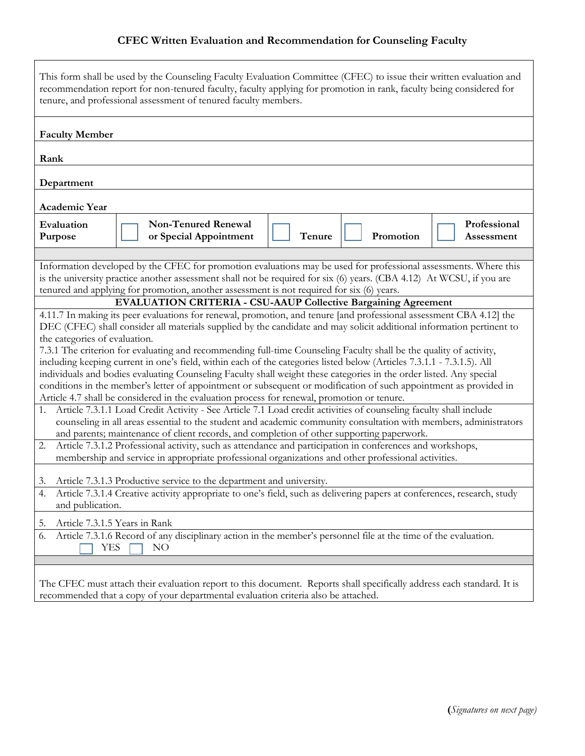## **CFEC Written Evaluation and Recommendation for Counseling Faculty**

| This form shall be used by the Counseling Faculty Evaluation Committee (CFEC) to issue their written evaluation and<br>recommendation report for non-tenured faculty, faculty applying for promotion in rank, faculty being considered for<br>tenure, and professional assessment of tenured faculty members.                                                                                                                                                                                                                                                                                                                                                                                                                                                                                                                                                                                                                                                                                                                                                                                                                                                                                                                                                                                                                                                                                                                                                                                                                                                                                                                                                                                                                                                                                                                                                                                                                                                                                                                                                                                                                          |  |  |  |  |  |  |
|----------------------------------------------------------------------------------------------------------------------------------------------------------------------------------------------------------------------------------------------------------------------------------------------------------------------------------------------------------------------------------------------------------------------------------------------------------------------------------------------------------------------------------------------------------------------------------------------------------------------------------------------------------------------------------------------------------------------------------------------------------------------------------------------------------------------------------------------------------------------------------------------------------------------------------------------------------------------------------------------------------------------------------------------------------------------------------------------------------------------------------------------------------------------------------------------------------------------------------------------------------------------------------------------------------------------------------------------------------------------------------------------------------------------------------------------------------------------------------------------------------------------------------------------------------------------------------------------------------------------------------------------------------------------------------------------------------------------------------------------------------------------------------------------------------------------------------------------------------------------------------------------------------------------------------------------------------------------------------------------------------------------------------------------------------------------------------------------------------------------------------------|--|--|--|--|--|--|
| <b>Faculty Member</b>                                                                                                                                                                                                                                                                                                                                                                                                                                                                                                                                                                                                                                                                                                                                                                                                                                                                                                                                                                                                                                                                                                                                                                                                                                                                                                                                                                                                                                                                                                                                                                                                                                                                                                                                                                                                                                                                                                                                                                                                                                                                                                                  |  |  |  |  |  |  |
| Rank                                                                                                                                                                                                                                                                                                                                                                                                                                                                                                                                                                                                                                                                                                                                                                                                                                                                                                                                                                                                                                                                                                                                                                                                                                                                                                                                                                                                                                                                                                                                                                                                                                                                                                                                                                                                                                                                                                                                                                                                                                                                                                                                   |  |  |  |  |  |  |
| Department                                                                                                                                                                                                                                                                                                                                                                                                                                                                                                                                                                                                                                                                                                                                                                                                                                                                                                                                                                                                                                                                                                                                                                                                                                                                                                                                                                                                                                                                                                                                                                                                                                                                                                                                                                                                                                                                                                                                                                                                                                                                                                                             |  |  |  |  |  |  |
| Academic Year                                                                                                                                                                                                                                                                                                                                                                                                                                                                                                                                                                                                                                                                                                                                                                                                                                                                                                                                                                                                                                                                                                                                                                                                                                                                                                                                                                                                                                                                                                                                                                                                                                                                                                                                                                                                                                                                                                                                                                                                                                                                                                                          |  |  |  |  |  |  |
| <b>Non-Tenured Renewal</b><br>Professional<br>Evaluation<br>Tenure<br>Promotion<br>or Special Appointment<br>Purpose<br>Assessment                                                                                                                                                                                                                                                                                                                                                                                                                                                                                                                                                                                                                                                                                                                                                                                                                                                                                                                                                                                                                                                                                                                                                                                                                                                                                                                                                                                                                                                                                                                                                                                                                                                                                                                                                                                                                                                                                                                                                                                                     |  |  |  |  |  |  |
| Information developed by the CFEC for promotion evaluations may be used for professional assessments. Where this<br>is the university practice another assessment shall not be required for six (6) years. (CBA 4.12) At WCSU, if you are<br>tenured and applying for promotion, another assessment is not required for six (6) years.<br><b>EVALUATION CRITERIA - CSU-AAUP Collective Bargaining Agreement</b><br>4.11.7 In making its peer evaluations for renewal, promotion, and tenure [and professional assessment CBA 4.12] the<br>DEC (CFEC) shall consider all materials supplied by the candidate and may solicit additional information pertinent to<br>the categories of evaluation.<br>7.3.1 The criterion for evaluating and recommending full-time Counseling Faculty shall be the quality of activity,<br>including keeping current in one's field, within each of the categories listed below (Articles 7.3.1.1 - 7.3.1.5). All<br>individuals and bodies evaluating Counseling Faculty shall weight these categories in the order listed. Any special<br>conditions in the member's letter of appointment or subsequent or modification of such appointment as provided in<br>Article 4.7 shall be considered in the evaluation process for renewal, promotion or tenure.<br>Article 7.3.1.1 Load Credit Activity - See Article 7.1 Load credit activities of counseling faculty shall include<br>1.<br>counseling in all areas essential to the student and academic community consultation with members, administrators<br>and parents; maintenance of client records, and completion of other supporting paperwork.<br>Article 7.3.1.2 Professional activity, such as attendance and participation in conferences and workshops,<br>2.<br>membership and service in appropriate professional organizations and other professional activities.<br>Article 7.3.1.3 Productive service to the department and university.<br>3.<br>Article 7.3.1.4 Creative activity appropriate to one's field, such as delivering papers at conferences, research, study<br>and publication.<br>Article 7.3.1.5 Years in Rank<br>5. |  |  |  |  |  |  |
| Article 7.3.1.6 Record of any disciplinary action in the member's personnel file at the time of the evaluation.<br>6.<br>YES<br>NO                                                                                                                                                                                                                                                                                                                                                                                                                                                                                                                                                                                                                                                                                                                                                                                                                                                                                                                                                                                                                                                                                                                                                                                                                                                                                                                                                                                                                                                                                                                                                                                                                                                                                                                                                                                                                                                                                                                                                                                                     |  |  |  |  |  |  |
| The CFEC must attach their evaluation report to this document. Reports shall specifically address each standard. It is<br>recommended that a copy of your departmental evaluation criteria also be attached.                                                                                                                                                                                                                                                                                                                                                                                                                                                                                                                                                                                                                                                                                                                                                                                                                                                                                                                                                                                                                                                                                                                                                                                                                                                                                                                                                                                                                                                                                                                                                                                                                                                                                                                                                                                                                                                                                                                           |  |  |  |  |  |  |